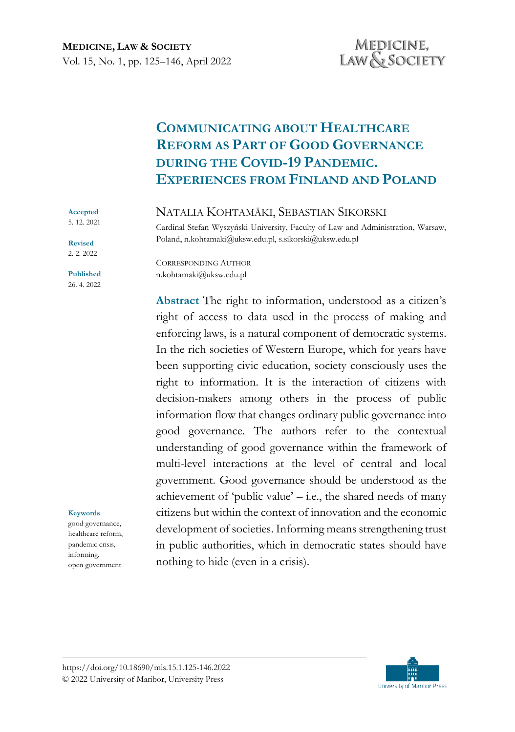# **COMMUNICATING ABOUT HEALTHCARE REFORM AS PART OF GOOD GOVERNANCE DURING THE COVID-19 PANDEMIC. EXPERIENCES FROM FINLAND AND POLAND**

#### NATALIA KOHTAMÄKI, SEBASTIAN SIKORSKI

Cardinal Stefan Wyszyński University, Faculty of Law and Administration, Warsaw, Poland, n.kohtamaki@uksw.edu.pl, s.sikorski@uksw.edu.pl

CORRESPONDING AUTHOR n.kohtamaki@uksw.edu.pl

**Abstract** The right to information, understood as a citizen's right of access to data used in the process of making and enforcing laws, is a natural component of democratic systems. In the rich societies of Western Europe, which for years have been supporting civic education, society consciously uses the right to information. It is the interaction of citizens with decision-makers among others in the process of public information flow that changes ordinary public governance into good governance. The authors refer to the contextual understanding of good governance within the framework of multi-level interactions at the level of central and local government. Good governance should be understood as the achievement of 'public value'  $-$  i.e., the shared needs of many citizens but within the context of innovation and the economic development of societies. Informing means strengthening trust in public authorities, which in democratic states should have nothing to hide (even in a crisis).

#### **Accepted**  5. 12. 2021

**Revised** 2. 2. 2022

**Published** 26. 4. 2022

#### **Keywords**

good governance, healthcare reform, pandemic crisis, informing, open government

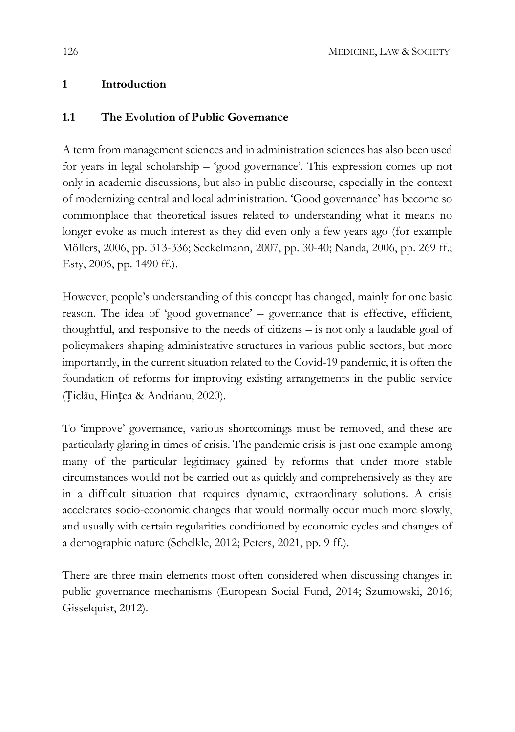# **1 Introduction**

### **1.1 The Evolution of Public Governance**

A term from management sciences and in administration sciences has also been used for years in legal scholarship – 'good governance'. This expression comes up not only in academic discussions, but also in public discourse, especially in the context of modernizing central and local administration. 'Good governance' has become so commonplace that theoretical issues related to understanding what it means no longer evoke as much interest as they did even only a few years ago (for example Möllers, 2006, pp. 313-336; Seckelmann, 2007, pp. 30-40; Nanda, 2006, pp. 269 ff.; Esty, 2006, pp. 1490 ff.).

However, people's understanding of this concept has changed, mainly for one basic reason. The idea of 'good governance' – governance that is effective, efficient, thoughtful, and responsive to the needs of citizens – is not only a laudable goal of policymakers shaping administrative structures in various public sectors, but more importantly, in the current situation related to the Covid-19 pandemic, it is often the foundation of reforms for improving existing arrangements in the public service (Țiclău, Hințea & Andrianu, 2020).

To 'improve' governance, various shortcomings must be removed, and these are particularly glaring in times of crisis. The pandemic crisis is just one example among many of the particular legitimacy gained by reforms that under more stable circumstances would not be carried out as quickly and comprehensively as they are in a difficult situation that requires dynamic, extraordinary solutions. A crisis accelerates socio-economic changes that would normally occur much more slowly, and usually with certain regularities conditioned by economic cycles and changes of a demographic nature (Schelkle, 2012; Peters, 2021, pp. 9 ff.).

There are three main elements most often considered when discussing changes in public governance mechanisms (European Social Fund, 2014; Szumowski, 2016; Gisselquist, 2012).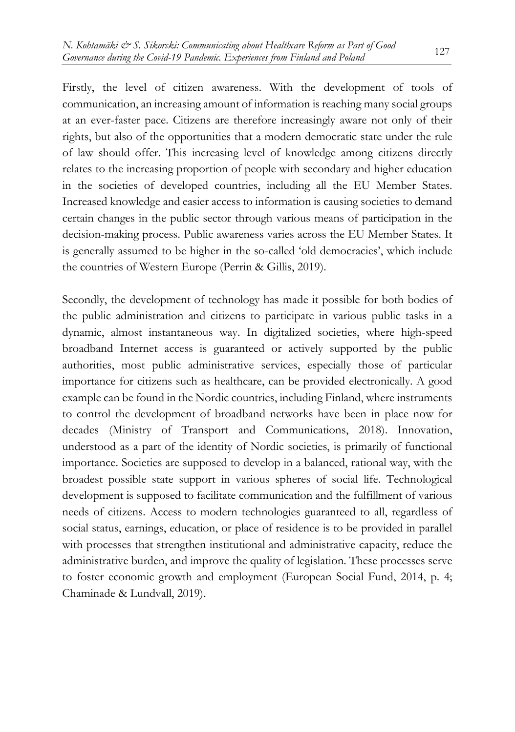Firstly, the level of citizen awareness. With the development of tools of communication, an increasing amount of information is reaching many social groups at an ever-faster pace. Citizens are therefore increasingly aware not only of their rights, but also of the opportunities that a modern democratic state under the rule of law should offer. This increasing level of knowledge among citizens directly relates to the increasing proportion of people with secondary and higher education in the societies of developed countries, including all the EU Member States. Increased knowledge and easier access to information is causing societies to demand certain changes in the public sector through various means of participation in the decision-making process. Public awareness varies across the EU Member States. It is generally assumed to be higher in the so-called 'old democracies', which include the countries of Western Europe (Perrin & Gillis, 2019).

Secondly, the development of technology has made it possible for both bodies of the public administration and citizens to participate in various public tasks in a dynamic, almost instantaneous way. In digitalized societies, where high-speed broadband Internet access is guaranteed or actively supported by the public authorities, most public administrative services, especially those of particular importance for citizens such as healthcare, can be provided electronically. A good example can be found in the Nordic countries, including Finland, where instruments to control the development of broadband networks have been in place now for decades (Ministry of Transport and Communications, 2018). Innovation, understood as a part of the identity of Nordic societies, is primarily of functional importance. Societies are supposed to develop in a balanced, rational way, with the broadest possible state support in various spheres of social life. Technological development is supposed to facilitate communication and the fulfillment of various needs of citizens. Access to modern technologies guaranteed to all, regardless of social status, earnings, education, or place of residence is to be provided in parallel with processes that strengthen institutional and administrative capacity, reduce the administrative burden, and improve the quality of legislation. These processes serve to foster economic growth and employment (European Social Fund, 2014, p. 4; Chaminade & Lundvall, 2019).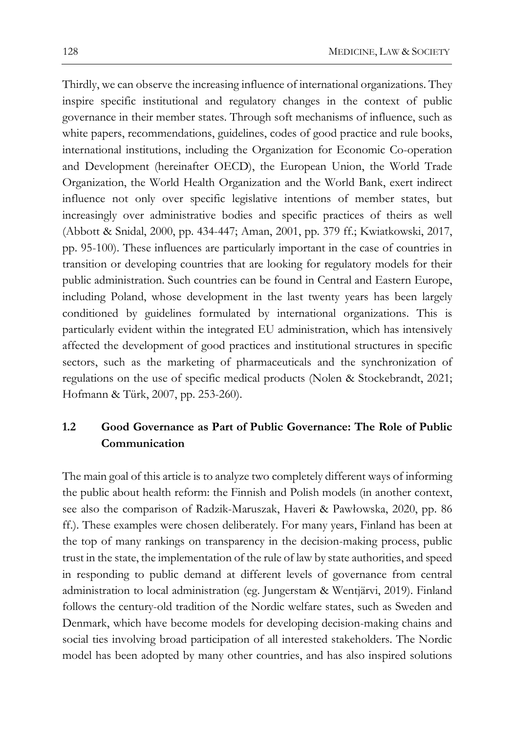Thirdly, we can observe the increasing influence of international organizations. They inspire specific institutional and regulatory changes in the context of public governance in their member states. Through soft mechanisms of influence, such as white papers, recommendations, guidelines, codes of good practice and rule books, international institutions, including the Organization for Economic Co-operation and Development (hereinafter OECD), the European Union, the World Trade Organization, the World Health Organization and the World Bank, exert indirect influence not only over specific legislative intentions of member states, but increasingly over administrative bodies and specific practices of theirs as well (Abbott & Snidal, 2000, pp. 434-447; Aman, 2001, pp. 379 ff.; Kwiatkowski, 2017, pp. 95-100). These influences are particularly important in the case of countries in transition or developing countries that are looking for regulatory models for their public administration. Such countries can be found in Central and Eastern Europe, including Poland, whose development in the last twenty years has been largely conditioned by guidelines formulated by international organizations. This is particularly evident within the integrated EU administration, which has intensively affected the development of good practices and institutional structures in specific sectors, such as the marketing of pharmaceuticals and the synchronization of regulations on the use of specific medical products (Nolen & Stockebrandt, 2021; Hofmann & Türk, 2007, pp. 253-260).

# **1.2 Good Governance as Part of Public Governance: The Role of Public Communication**

The main goal of this article is to analyze two completely different ways of informing the public about health reform: the Finnish and Polish models (in another context, see also the comparison of Radzik-Maruszak, Haveri & Pawłowska, 2020, pp. 86 ff.). These examples were chosen deliberately. For many years, Finland has been at the top of many rankings on transparency in the decision-making process, public trust in the state, the implementation of the rule of law by state authorities, and speed in responding to public demand at different levels of governance from central administration to local administration (eg. Jungerstam & Wentjärvi, 2019). Finland follows the century-old tradition of the Nordic welfare states, such as Sweden and Denmark, which have become models for developing decision-making chains and social ties involving broad participation of all interested stakeholders. The Nordic model has been adopted by many other countries, and has also inspired solutions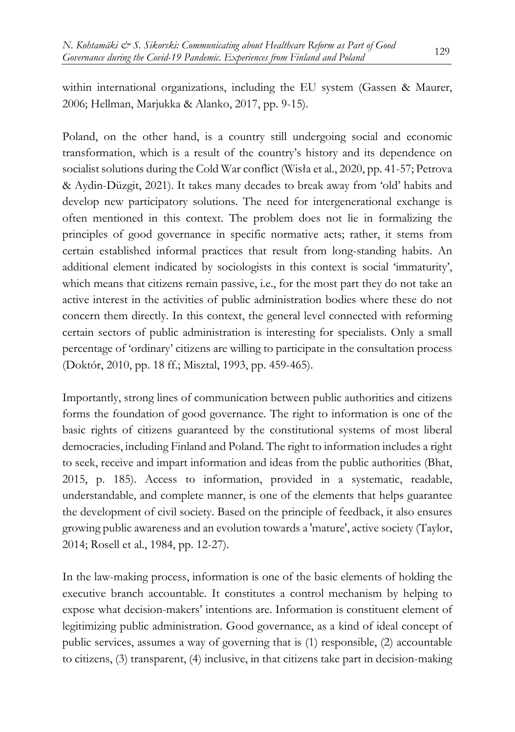within international organizations, including the EU system (Gassen & Maurer, 2006; Hellman, Marjukka & Alanko, 2017, pp. 9-15).

Poland, on the other hand, is a country still undergoing social and economic transformation, which is a result of the country's history and its dependence on socialist solutions during the Cold War conflict (Wisła et al., 2020, pp. 41-57; Petrova & Aydin-Düzgit, 2021). It takes many decades to break away from 'old' habits and develop new participatory solutions. The need for intergenerational exchange is often mentioned in this context. The problem does not lie in formalizing the principles of good governance in specific normative acts; rather, it stems from certain established informal practices that result from long-standing habits. An additional element indicated by sociologists in this context is social 'immaturity', which means that citizens remain passive, i.e., for the most part they do not take an active interest in the activities of public administration bodies where these do not concern them directly. In this context, the general level connected with reforming certain sectors of public administration is interesting for specialists. Only a small percentage of 'ordinary' citizens are willing to participate in the consultation process (Doktór, 2010, pp. 18 ff.; Misztal, 1993, pp. 459-465).

Importantly, strong lines of communication between public authorities and citizens forms the foundation of good governance. The right to information is one of the basic rights of citizens guaranteed by the constitutional systems of most liberal democracies, including Finland and Poland. The right to information includes a right to seek, receive and impart information and ideas from the public authorities (Bhat, 2015, p. 185). Access to information, provided in a systematic, readable, understandable, and complete manner, is one of the elements that helps guarantee the development of civil society. Based on the principle of feedback, it also ensures growing public awareness and an evolution towards a 'mature', active society (Taylor, 2014; Rosell et al., 1984, pp. 12-27).

In the law-making process, information is one of the basic elements of holding the executive branch accountable. It constitutes a control mechanism by helping to expose what decision-makers' intentions are. Information is constituent element of legitimizing public administration. Good governance, as a kind of ideal concept of public services, assumes a way of governing that is (1) responsible, (2) accountable to citizens, (3) transparent, (4) inclusive, in that citizens take part in decision-making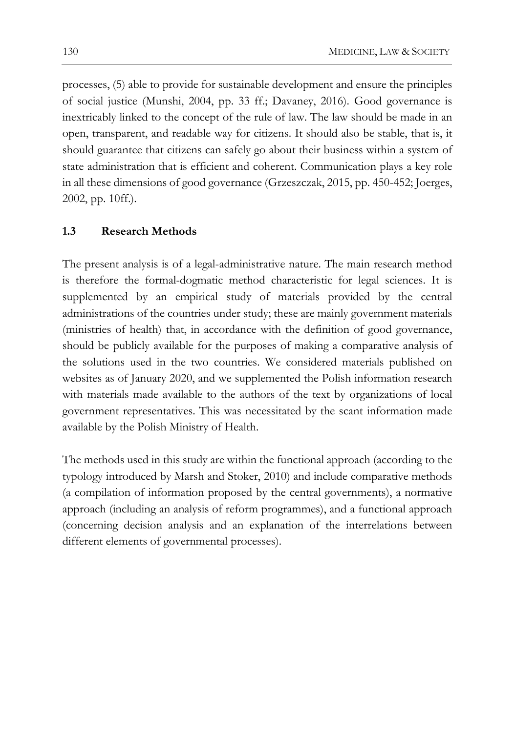processes, (5) able to provide for sustainable development and ensure the principles of social justice (Munshi, 2004, pp. 33 ff.; Davaney, 2016). Good governance is inextricably linked to the concept of the rule of law. The law should be made in an open, transparent, and readable way for citizens. It should also be stable, that is, it should guarantee that citizens can safely go about their business within a system of state administration that is efficient and coherent. Communication plays a key role in all these dimensions of good governance (Grzeszczak, 2015, pp. 450-452; Joerges, 2002, pp. 10ff.).

#### **1.3 Research Methods**

The present analysis is of a legal-administrative nature. The main research method is therefore the formal-dogmatic method characteristic for legal sciences. It is supplemented by an empirical study of materials provided by the central administrations of the countries under study; these are mainly government materials (ministries of health) that, in accordance with the definition of good governance, should be publicly available for the purposes of making a comparative analysis of the solutions used in the two countries. We considered materials published on websites as of January 2020, and we supplemented the Polish information research with materials made available to the authors of the text by organizations of local government representatives. This was necessitated by the scant information made available by the Polish Ministry of Health.

The methods used in this study are within the functional approach (according to the typology introduced by Marsh and Stoker, 2010) and include comparative methods (a compilation of information proposed by the central governments), a normative approach (including an analysis of reform programmes), and a functional approach (concerning decision analysis and an explanation of the interrelations between different elements of governmental processes).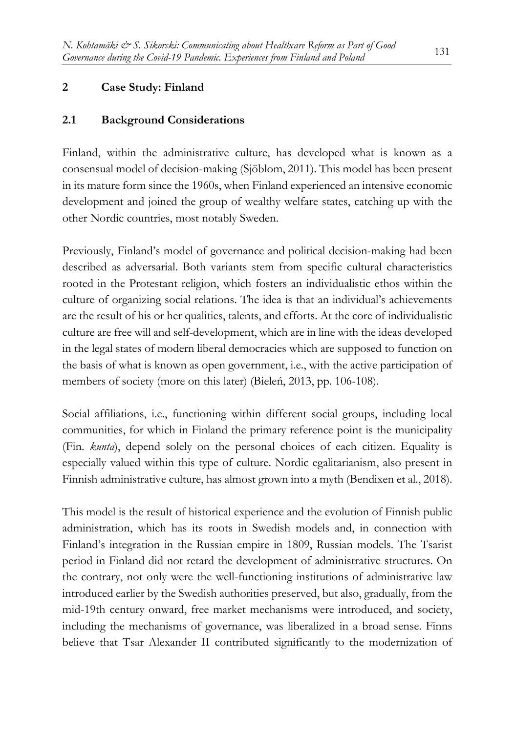# **2 Case Study: Finland**

# **2.1 Background Considerations**

Finland, within the administrative culture, has developed what is known as a consensual model of decision-making (Sjöblom, 2011). This model has been present in its mature form since the 1960s, when Finland experienced an intensive economic development and joined the group of wealthy welfare states, catching up with the other Nordic countries, most notably Sweden.

Previously, Finland's model of governance and political decision-making had been described as adversarial. Both variants stem from specific cultural characteristics rooted in the Protestant religion, which fosters an individualistic ethos within the culture of organizing social relations. The idea is that an individual's achievements are the result of his or her qualities, talents, and efforts. At the core of individualistic culture are free will and self-development, which are in line with the ideas developed in the legal states of modern liberal democracies which are supposed to function on the basis of what is known as open government, i.e., with the active participation of members of society (more on this later) (Bieleń, 2013, pp. 106-108).

Social affiliations, i.e., functioning within different social groups, including local communities, for which in Finland the primary reference point is the municipality (Fin. *kunta*), depend solely on the personal choices of each citizen. Equality is especially valued within this type of culture. Nordic egalitarianism, also present in Finnish administrative culture, has almost grown into a myth (Bendixen et al., 2018).

This model is the result of historical experience and the evolution of Finnish public administration, which has its roots in Swedish models and, in connection with Finland's integration in the Russian empire in 1809, Russian models. The Tsarist period in Finland did not retard the development of administrative structures. On the contrary, not only were the well-functioning institutions of administrative law introduced earlier by the Swedish authorities preserved, but also, gradually, from the mid-19th century onward, free market mechanisms were introduced, and society, including the mechanisms of governance, was liberalized in a broad sense. Finns believe that Tsar Alexander II contributed significantly to the modernization of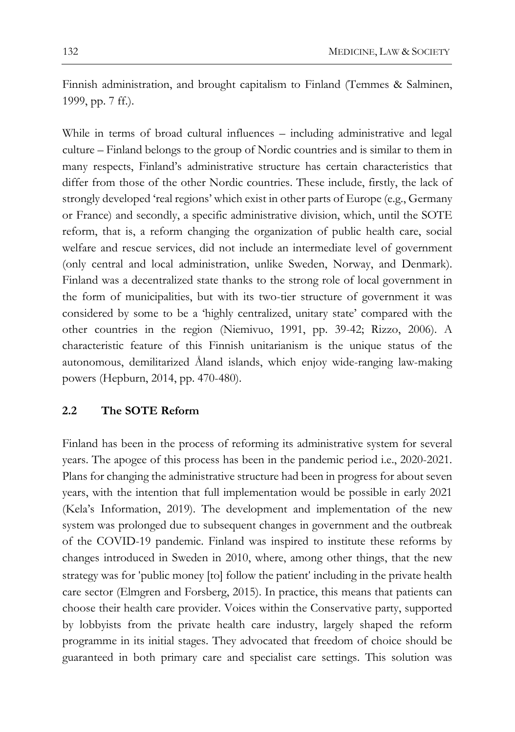Finnish administration, and brought capitalism to Finland (Temmes & Salminen, 1999, pp. 7 ff.).

While in terms of broad cultural influences – including administrative and legal culture – Finland belongs to the group of Nordic countries and is similar to them in many respects, Finland's administrative structure has certain characteristics that differ from those of the other Nordic countries. These include, firstly, the lack of strongly developed 'real regions' which exist in other parts of Europe (e.g., Germany or France) and secondly, a specific administrative division, which, until the SOTE reform, that is, a reform changing the organization of public health care, social welfare and rescue services, did not include an intermediate level of government (only central and local administration, unlike Sweden, Norway, and Denmark). Finland was a decentralized state thanks to the strong role of local government in the form of municipalities, but with its two-tier structure of government it was considered by some to be a 'highly centralized, unitary state' compared with the other countries in the region (Niemivuo, 1991, pp. 39-42; Rizzo, 2006). A characteristic feature of this Finnish unitarianism is the unique status of the autonomous, demilitarized Åland islands, which enjoy wide-ranging law-making powers (Hepburn, 2014, pp. 470-480).

#### **2.2 The SOTE Reform**

Finland has been in the process of reforming its administrative system for several years. The apogee of this process has been in the pandemic period i.e., 2020-2021. Plans for changing the administrative structure had been in progress for about seven years, with the intention that full implementation would be possible in early 2021 (Kela's Information, 2019). The development and implementation of the new system was prolonged due to subsequent changes in government and the outbreak of the COVID-19 pandemic. Finland was inspired to institute these reforms by changes introduced in Sweden in 2010, where, among other things, that the new strategy was for 'public money [to] follow the patient' including in the private health care sector (Elmgren and Forsberg, 2015). In practice, this means that patients can choose their health care provider. Voices within the Conservative party, supported by lobbyists from the private health care industry, largely shaped the reform programme in its initial stages. They advocated that freedom of choice should be guaranteed in both primary care and specialist care settings. This solution was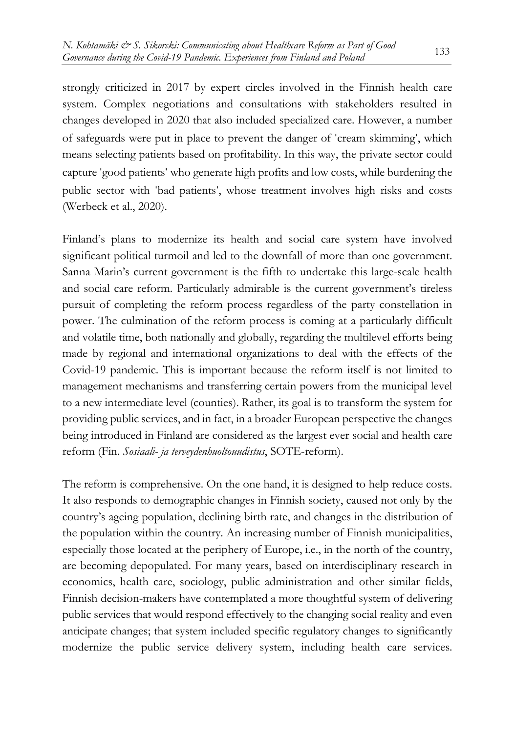strongly criticized in 2017 by expert circles involved in the Finnish health care system. Complex negotiations and consultations with stakeholders resulted in changes developed in 2020 that also included specialized care. However, a number of safeguards were put in place to prevent the danger of 'cream skimming', which means selecting patients based on profitability. In this way, the private sector could capture 'good patients' who generate high profits and low costs, while burdening the public sector with 'bad patients', whose treatment involves high risks and costs (Werbeck et al., 2020).

Finland's plans to modernize its health and social care system have involved significant political turmoil and led to the downfall of more than one government. Sanna Marin's current government is the fifth to undertake this large-scale health and social care reform. Particularly admirable is the current government's tireless pursuit of completing the reform process regardless of the party constellation in power. The culmination of the reform process is coming at a particularly difficult and volatile time, both nationally and globally, regarding the multilevel efforts being made by regional and international organizations to deal with the effects of the Covid-19 pandemic. This is important because the reform itself is not limited to management mechanisms and transferring certain powers from the municipal level to a new intermediate level (counties). Rather, its goal is to transform the system for providing public services, and in fact, in a broader European perspective the changes being introduced in Finland are considered as the largest ever social and health care reform (Fin. *Sosiaali- ja terveydenhuoltouudistus*, SOTE-reform).

The reform is comprehensive. On the one hand, it is designed to help reduce costs. It also responds to demographic changes in Finnish society, caused not only by the country's ageing population, declining birth rate, and changes in the distribution of the population within the country. An increasing number of Finnish municipalities, especially those located at the periphery of Europe, i.e., in the north of the country, are becoming depopulated. For many years, based on interdisciplinary research in economics, health care, sociology, public administration and other similar fields, Finnish decision-makers have contemplated a more thoughtful system of delivering public services that would respond effectively to the changing social reality and even anticipate changes; that system included specific regulatory changes to significantly modernize the public service delivery system, including health care services.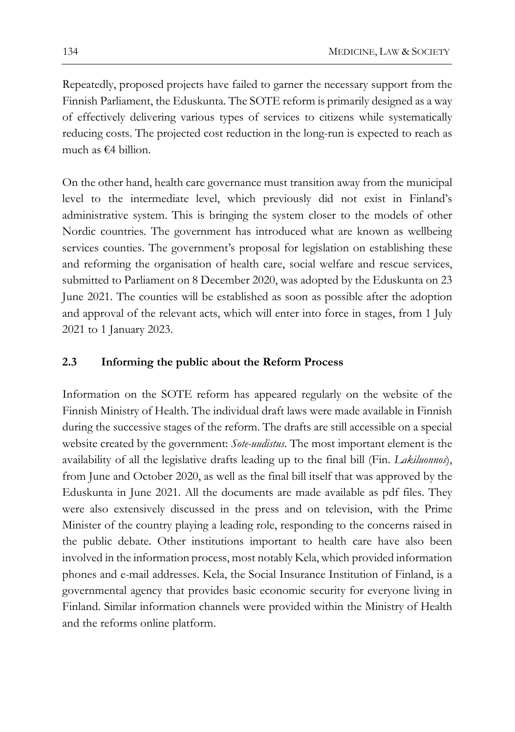Repeatedly, proposed projects have failed to garner the necessary support from the Finnish Parliament, the Eduskunta. The SOTE reform is primarily designed as a way of effectively delivering various types of services to citizens while systematically reducing costs. The projected cost reduction in the long-run is expected to reach as much as  $f(4)$  billion.

On the other hand, health care governance must transition away from the municipal level to the intermediate level, which previously did not exist in Finland's administrative system. This is bringing the system closer to the models of other Nordic countries. The government has introduced what are known as wellbeing services counties. The government's proposal for legislation on establishing these and reforming the organisation of health care, social welfare and rescue services, submitted to Parliament on 8 December 2020, was adopted by the Eduskunta on 23 June 2021. The counties will be established as soon as possible after the adoption and approval of the relevant acts, which will enter into force in stages, from 1 July 2021 to 1 January 2023.

### **2.3 Informing the public about the Reform Process**

Information on the SOTE reform has appeared regularly on the website of the Finnish Ministry of Health. The individual draft laws were made available in Finnish during the successive stages of the reform. The drafts are still accessible on a special website created by the government: *Sote-uudistus*. The most important element is the availability of all the legislative drafts leading up to the final bill (Fin. *Lakiluonnos*), from June and October 2020, as well as the final bill itself that was approved by the Eduskunta in June 2021. All the documents are made available as pdf files. They were also extensively discussed in the press and on television, with the Prime Minister of the country playing a leading role, responding to the concerns raised in the public debate. Other institutions important to health care have also been involved in the information process, most notably Kela, which provided information phones and e-mail addresses. Kela, the Social Insurance Institution of Finland, is a governmental agency that provides basic economic security for everyone living in Finland. Similar information channels were provided within the Ministry of Health and the reforms online platform.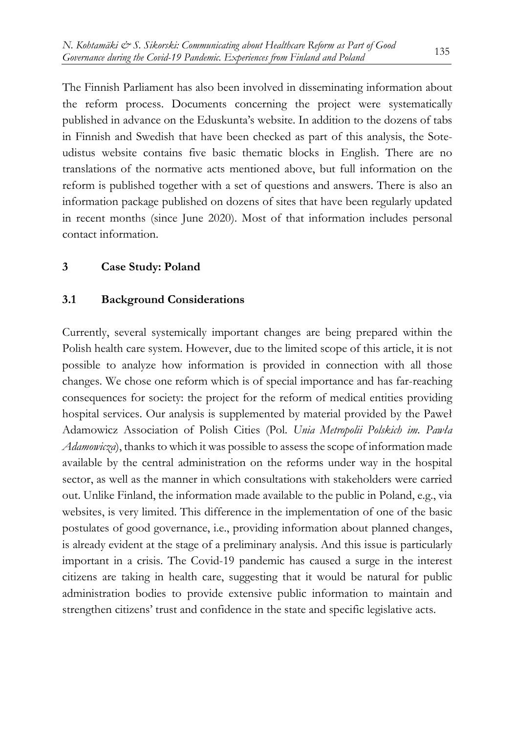The Finnish Parliament has also been involved in disseminating information about the reform process. Documents concerning the project were systematically published in advance on the Eduskunta's website. In addition to the dozens of tabs in Finnish and Swedish that have been checked as part of this analysis, the Soteudistus website contains five basic thematic blocks in English. There are no translations of the normative acts mentioned above, but full information on the reform is published together with a set of questions and answers. There is also an information package published on dozens of sites that have been regularly updated in recent months (since June 2020). Most of that information includes personal contact information.

# **3 Case Study: Poland**

# **3.1 Background Considerations**

Currently, several systemically important changes are being prepared within the Polish health care system. However, due to the limited scope of this article, it is not possible to analyze how information is provided in connection with all those changes. We chose one reform which is of special importance and has far-reaching consequences for society: the project for the reform of medical entities providing hospital services. Our analysis is supplemented by material provided by the Paweł Adamowicz Association of Polish Cities (Pol. *Unia Metropolii Polskich im. Pawła Adamowicza*), thanks to which it was possible to assess the scope of information made available by the central administration on the reforms under way in the hospital sector, as well as the manner in which consultations with stakeholders were carried out. Unlike Finland, the information made available to the public in Poland, e.g., via websites, is very limited. This difference in the implementation of one of the basic postulates of good governance, i.e., providing information about planned changes, is already evident at the stage of a preliminary analysis. And this issue is particularly important in a crisis. The Covid-19 pandemic has caused a surge in the interest citizens are taking in health care, suggesting that it would be natural for public administration bodies to provide extensive public information to maintain and strengthen citizens' trust and confidence in the state and specific legislative acts.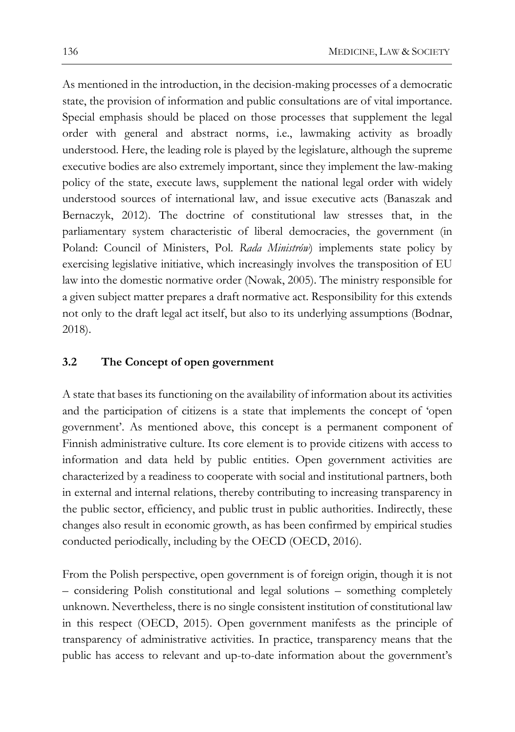As mentioned in the introduction, in the decision-making processes of a democratic state, the provision of information and public consultations are of vital importance. Special emphasis should be placed on those processes that supplement the legal order with general and abstract norms, i.e., lawmaking activity as broadly understood. Here, the leading role is played by the legislature, although the supreme executive bodies are also extremely important, since they implement the law-making policy of the state, execute laws, supplement the national legal order with widely understood sources of international law, and issue executive acts (Banaszak and Bernaczyk, 2012). The doctrine of constitutional law stresses that, in the parliamentary system characteristic of liberal democracies, the government (in Poland: Council of Ministers, Pol. *Rada Ministrów*) implements state policy by exercising legislative initiative, which increasingly involves the transposition of EU law into the domestic normative order (Nowak, 2005). The ministry responsible for a given subject matter prepares a draft normative act. Responsibility for this extends not only to the draft legal act itself, but also to its underlying assumptions (Bodnar, 2018).

#### **3.2 The Concept of open government**

A state that bases its functioning on the availability of information about its activities and the participation of citizens is a state that implements the concept of 'open government'. As mentioned above, this concept is a permanent component of Finnish administrative culture. Its core element is to provide citizens with access to information and data held by public entities. Open government activities are characterized by a readiness to cooperate with social and institutional partners, both in external and internal relations, thereby contributing to increasing transparency in the public sector, efficiency, and public trust in public authorities. Indirectly, these changes also result in economic growth, as has been confirmed by empirical studies conducted periodically, including by the OECD (OECD, 2016).

From the Polish perspective, open government is of foreign origin, though it is not – considering Polish constitutional and legal solutions – something completely unknown. Nevertheless, there is no single consistent institution of constitutional law in this respect (OECD, 2015). Open government manifests as the principle of transparency of administrative activities. In practice, transparency means that the public has access to relevant and up-to-date information about the government's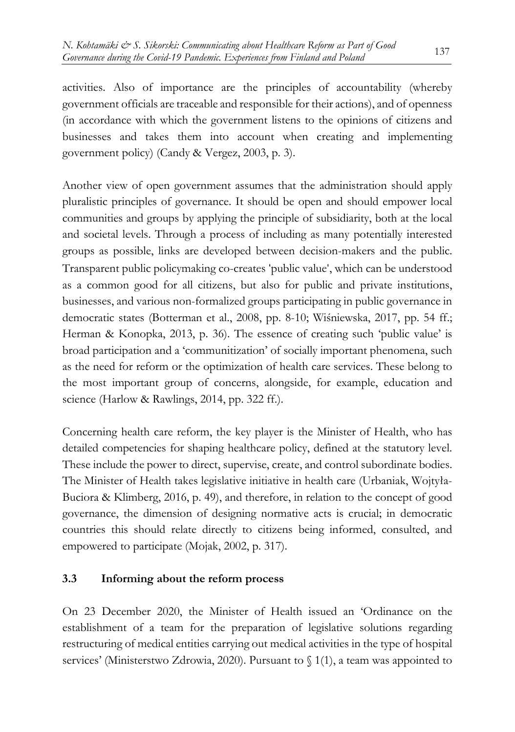activities. Also of importance are the principles of accountability (whereby government officials are traceable and responsible for their actions), and of openness (in accordance with which the government listens to the opinions of citizens and businesses and takes them into account when creating and implementing government policy) (Candy & Vergez, 2003, p. 3).

Another view of open government assumes that the administration should apply pluralistic principles of governance. It should be open and should empower local communities and groups by applying the principle of subsidiarity, both at the local and societal levels. Through a process of including as many potentially interested groups as possible, links are developed between decision-makers and the public. Transparent public policymaking co-creates 'public value', which can be understood as a common good for all citizens, but also for public and private institutions, businesses, and various non-formalized groups participating in public governance in democratic states (Botterman et al., 2008, pp. 8-10; Wiśniewska, 2017, pp. 54 ff.; Herman & Konopka, 2013, p. 36). The essence of creating such 'public value' is broad participation and a 'communitization' of socially important phenomena, such as the need for reform or the optimization of health care services. These belong to the most important group of concerns, alongside, for example, education and science (Harlow & Rawlings, 2014, pp. 322 ff.).

Concerning health care reform, the key player is the Minister of Health, who has detailed competencies for shaping healthcare policy, defined at the statutory level. These include the power to direct, supervise, create, and control subordinate bodies. The Minister of Health takes legislative initiative in health care (Urbaniak, Wojtyła-Buciora & Klimberg, 2016, p. 49), and therefore, in relation to the concept of good governance, the dimension of designing normative acts is crucial; in democratic countries this should relate directly to citizens being informed, consulted, and empowered to participate (Mojak, 2002, p. 317).

# **3.3 Informing about the reform process**

On 23 December 2020, the Minister of Health issued an 'Ordinance on the establishment of a team for the preparation of legislative solutions regarding restructuring of medical entities carrying out medical activities in the type of hospital services' (Ministerstwo Zdrowia, 2020). Pursuant to  $\{(1, 1)\}$ , a team was appointed to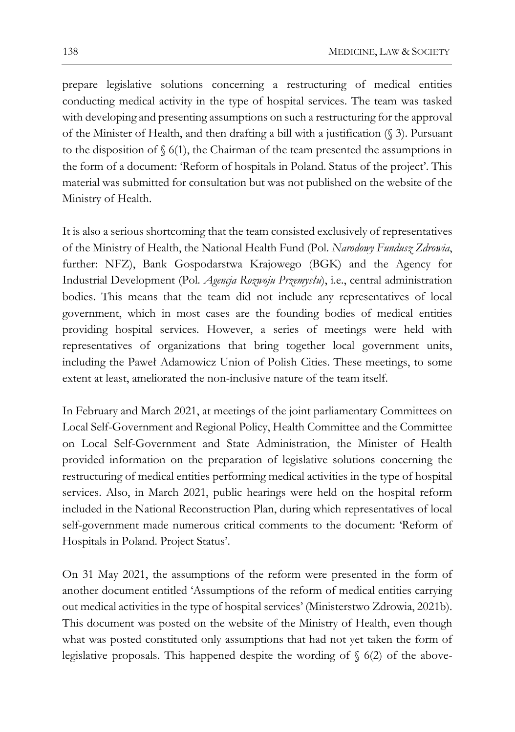prepare legislative solutions concerning a restructuring of medical entities conducting medical activity in the type of hospital services. The team was tasked with developing and presenting assumptions on such a restructuring for the approval of the Minister of Health, and then drafting a bill with a justification (§ 3). Pursuant to the disposition of  $\S$  6(1), the Chairman of the team presented the assumptions in the form of a document: 'Reform of hospitals in Poland. Status of the project'. This material was submitted for consultation but was not published on the website of the Ministry of Health.

It is also a serious shortcoming that the team consisted exclusively of representatives of the Ministry of Health, the National Health Fund (Pol. *Narodowy Fundusz Zdrowia*, further: NFZ), Bank Gospodarstwa Krajowego (BGK) and the Agency for Industrial Development (Pol. *Agencja Rozwoju Przemysłu*), i.e., central administration bodies. This means that the team did not include any representatives of local government, which in most cases are the founding bodies of medical entities providing hospital services. However, a series of meetings were held with representatives of organizations that bring together local government units, including the Paweł Adamowicz Union of Polish Cities. These meetings, to some extent at least, ameliorated the non-inclusive nature of the team itself.

In February and March 2021, at meetings of the joint parliamentary Committees on Local Self-Government and Regional Policy, Health Committee and the Committee on Local Self-Government and State Administration, the Minister of Health provided information on the preparation of legislative solutions concerning the restructuring of medical entities performing medical activities in the type of hospital services. Also, in March 2021, public hearings were held on the hospital reform included in the National Reconstruction Plan, during which representatives of local self-government made numerous critical comments to the document: 'Reform of Hospitals in Poland. Project Status'.

On 31 May 2021, the assumptions of the reform were presented in the form of another document entitled 'Assumptions of the reform of medical entities carrying out medical activities in the type of hospital services' (Ministerstwo Zdrowia, 2021b). This document was posted on the website of the Ministry of Health, even though what was posted constituted only assumptions that had not yet taken the form of legislative proposals. This happened despite the wording of  $\S$  6(2) of the above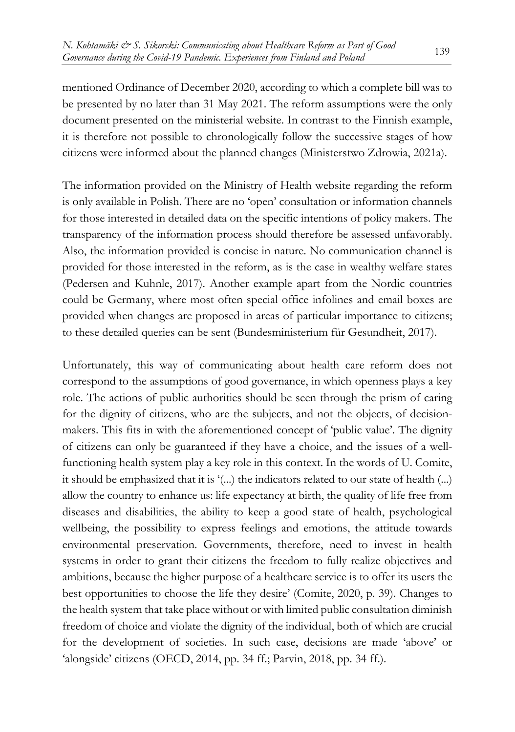mentioned Ordinance of December 2020, according to which a complete bill was to be presented by no later than 31 May 2021. The reform assumptions were the only document presented on the ministerial website. In contrast to the Finnish example, it is therefore not possible to chronologically follow the successive stages of how citizens were informed about the planned changes (Ministerstwo Zdrowia, 2021a).

The information provided on the Ministry of Health website regarding the reform is only available in Polish. There are no 'open' consultation or information channels for those interested in detailed data on the specific intentions of policy makers. The transparency of the information process should therefore be assessed unfavorably. Also, the information provided is concise in nature. No communication channel is provided for those interested in the reform, as is the case in wealthy welfare states (Pedersen and Kuhnle, 2017). Another example apart from the Nordic countries could be Germany, where most often special office infolines and email boxes are provided when changes are proposed in areas of particular importance to citizens; to these detailed queries can be sent (Bundesministerium für Gesundheit, 2017).

Unfortunately, this way of communicating about health care reform does not correspond to the assumptions of good governance, in which openness plays a key role. The actions of public authorities should be seen through the prism of caring for the dignity of citizens, who are the subjects, and not the objects, of decisionmakers. This fits in with the aforementioned concept of 'public value'. The dignity of citizens can only be guaranteed if they have a choice, and the issues of a wellfunctioning health system play a key role in this context. In the words of U. Comite, it should be emphasized that it is '(...) the indicators related to our state of health (...) allow the country to enhance us: life expectancy at birth, the quality of life free from diseases and disabilities, the ability to keep a good state of health, psychological wellbeing, the possibility to express feelings and emotions, the attitude towards environmental preservation. Governments, therefore, need to invest in health systems in order to grant their citizens the freedom to fully realize objectives and ambitions, because the higher purpose of a healthcare service is to offer its users the best opportunities to choose the life they desire' (Comite, 2020, p. 39). Changes to the health system that take place without or with limited public consultation diminish freedom of choice and violate the dignity of the individual, both of which are crucial for the development of societies. In such case, decisions are made 'above' or 'alongside' citizens (OECD, 2014, pp. 34 ff.; Parvin, 2018, pp. 34 ff.).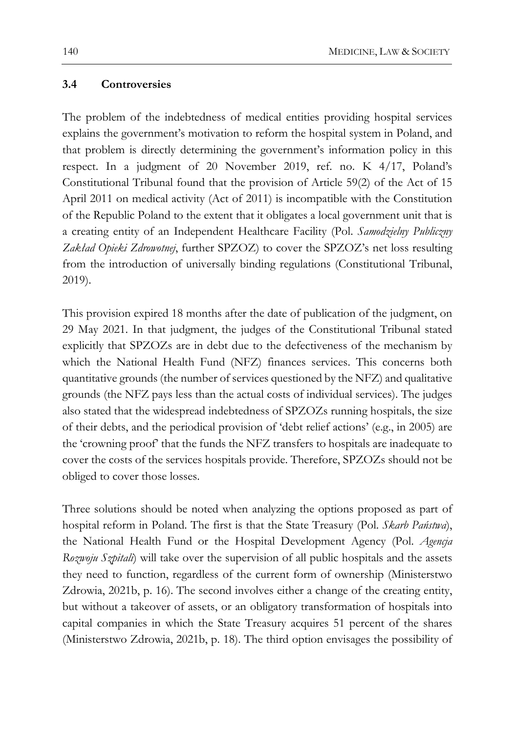#### **3.4 Controversies**

The problem of the indebtedness of medical entities providing hospital services explains the government's motivation to reform the hospital system in Poland, and that problem is directly determining the government's information policy in this respect. In a judgment of 20 November 2019, ref. no. K 4/17, Poland's Constitutional Tribunal found that the provision of Article 59(2) of the Act of 15 April 2011 on medical activity (Act of 2011) is incompatible with the Constitution of the Republic Poland to the extent that it obligates a local government unit that is a creating entity of an Independent Healthcare Facility (Pol. *Samodzielny Publiczny Zakład Opieki Zdrowotnej*, further SPZOZ) to cover the SPZOZ's net loss resulting from the introduction of universally binding regulations (Constitutional Tribunal, 2019).

This provision expired 18 months after the date of publication of the judgment, on 29 May 2021. In that judgment, the judges of the Constitutional Tribunal stated explicitly that SPZOZs are in debt due to the defectiveness of the mechanism by which the National Health Fund (NFZ) finances services. This concerns both quantitative grounds (the number of services questioned by the NFZ) and qualitative grounds (the NFZ pays less than the actual costs of individual services). The judges also stated that the widespread indebtedness of SPZOZs running hospitals, the size of their debts, and the periodical provision of 'debt relief actions' (e.g., in 2005) are the 'crowning proof' that the funds the NFZ transfers to hospitals are inadequate to cover the costs of the services hospitals provide. Therefore, SPZOZs should not be obliged to cover those losses.

Three solutions should be noted when analyzing the options proposed as part of hospital reform in Poland. The first is that the State Treasury (Pol. *Skarb Państwa*), the National Health Fund or the Hospital Development Agency (Pol. *Agencja Rozwoju Szpitali*) will take over the supervision of all public hospitals and the assets they need to function, regardless of the current form of ownership (Ministerstwo Zdrowia, 2021b, p. 16). The second involves either a change of the creating entity, but without a takeover of assets, or an obligatory transformation of hospitals into capital companies in which the State Treasury acquires 51 percent of the shares (Ministerstwo Zdrowia, 2021b, p. 18). The third option envisages the possibility of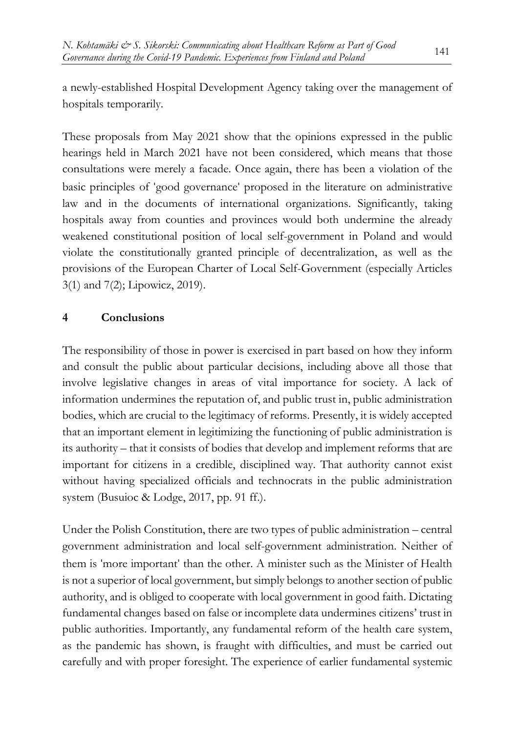a newly-established Hospital Development Agency taking over the management of hospitals temporarily.

These proposals from May 2021 show that the opinions expressed in the public hearings held in March 2021 have not been considered, which means that those consultations were merely a facade. Once again, there has been a violation of the basic principles of 'good governance' proposed in the literature on administrative law and in the documents of international organizations. Significantly, taking hospitals away from counties and provinces would both undermine the already weakened constitutional position of local self-government in Poland and would violate the constitutionally granted principle of decentralization, as well as the provisions of the European Charter of Local Self-Government (especially Articles 3(1) and 7(2); Lipowicz, 2019).

# **4 Conclusions**

The responsibility of those in power is exercised in part based on how they inform and consult the public about particular decisions, including above all those that involve legislative changes in areas of vital importance for society. A lack of information undermines the reputation of, and public trust in, public administration bodies, which are crucial to the legitimacy of reforms. Presently, it is widely accepted that an important element in legitimizing the functioning of public administration is its authority – that it consists of bodies that develop and implement reforms that are important for citizens in a credible, disciplined way. That authority cannot exist without having specialized officials and technocrats in the public administration system (Busuioc & Lodge, 2017, pp. 91 ff.).

Under the Polish Constitution, there are two types of public administration – central government administration and local self-government administration. Neither of them is 'more important' than the other. A minister such as the Minister of Health is not a superior of local government, but simply belongs to another section of public authority, and is obliged to cooperate with local government in good faith. Dictating fundamental changes based on false or incomplete data undermines citizens' trust in public authorities. Importantly, any fundamental reform of the health care system, as the pandemic has shown, is fraught with difficulties, and must be carried out carefully and with proper foresight. The experience of earlier fundamental systemic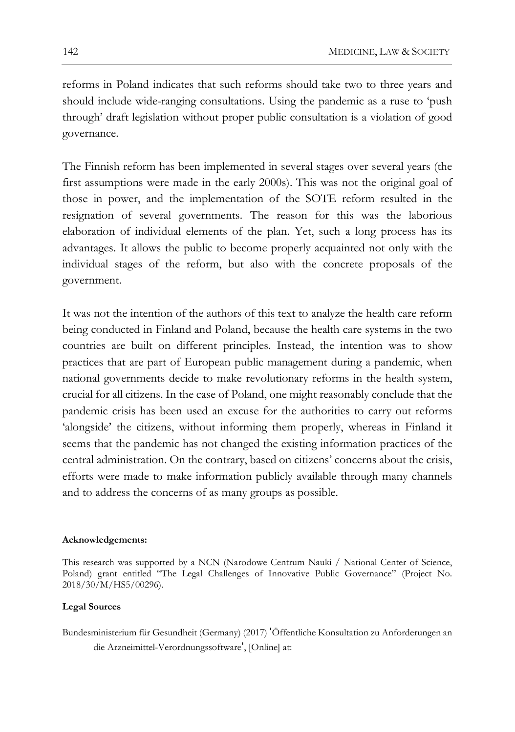reforms in Poland indicates that such reforms should take two to three years and should include wide-ranging consultations. Using the pandemic as a ruse to 'push through' draft legislation without proper public consultation is a violation of good governance.

The Finnish reform has been implemented in several stages over several years (the first assumptions were made in the early 2000s). This was not the original goal of those in power, and the implementation of the SOTE reform resulted in the resignation of several governments. The reason for this was the laborious elaboration of individual elements of the plan. Yet, such a long process has its advantages. It allows the public to become properly acquainted not only with the individual stages of the reform, but also with the concrete proposals of the government.

It was not the intention of the authors of this text to analyze the health care reform being conducted in Finland and Poland, because the health care systems in the two countries are built on different principles. Instead, the intention was to show practices that are part of European public management during a pandemic, when national governments decide to make revolutionary reforms in the health system, crucial for all citizens. In the case of Poland, one might reasonably conclude that the pandemic crisis has been used an excuse for the authorities to carry out reforms 'alongside' the citizens, without informing them properly, whereas in Finland it seems that the pandemic has not changed the existing information practices of the central administration. On the contrary, based on citizens' concerns about the crisis, efforts were made to make information publicly available through many channels and to address the concerns of as many groups as possible.

#### **Acknowledgements:**

This research was supported by a NCN (Narodowe Centrum Nauki / National Center of Science, Poland) grant entitled "The Legal Challenges of Innovative Public Governance" (Project No. 2018/30/M/HS5/00296).

#### **Legal Sources**

Bundesministerium für Gesundheit (Germany) (2017) 'Öffentliche Konsultation zu Anforderungen an die Arzneimittel-Verordnungssoftware', [Online] at: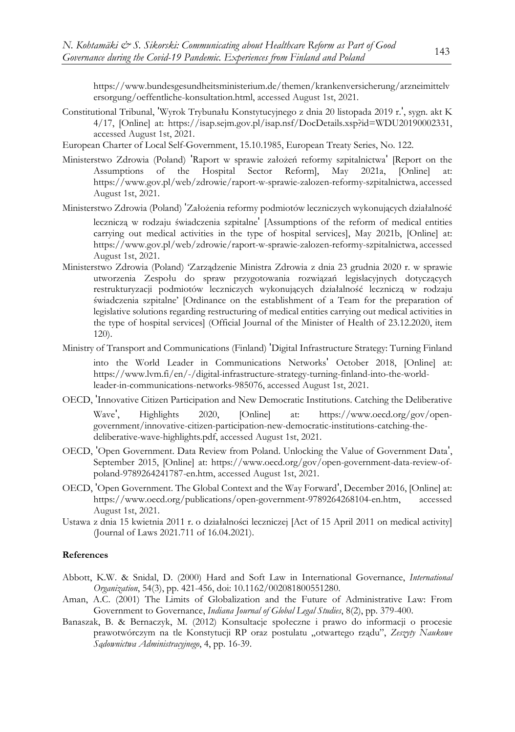https://www.bundesgesundheitsministerium.de/themen/krankenversicherung/arzneimittelv ersorgung/oeffentliche-konsultation.html, accessed August 1st, 2021.

- Constitutional Tribunal, 'Wyrok Trybunału Konstytucyjnego z dnia 20 listopada 2019 r.', sygn. akt K 4/17, [Online] at: https://isap.sejm.gov.pl/isap.nsf/DocDetails.xsp?id=WDU20190002331, accessed August 1st, 2021.
- European Charter of Local Self-Government, 15.10.1985, European Treaty Series, No. 122.
- Ministerstwo Zdrowia (Poland) 'Raport w sprawie założeń reformy szpitalnictwa' [Report on the Assumptions of the Hospital Sector Reform], May 2021a, [Online] at: https://www.gov.pl/web/zdrowie/raport-w-sprawie-zalozen-reformy-szpitalnictwa, accessed August 1st, 2021.
- Ministerstwo Zdrowia (Poland) 'Założenia reformy podmiotów leczniczych wykonujących działalność

leczniczą w rodzaju świadczenia szpitalne' [Assumptions of the reform of medical entities carrying out medical activities in the type of hospital services], May 2021b, [Online] at: https://www.gov.pl/web/zdrowie/raport-w-sprawie-zalozen-reformy-szpitalnictwa, accessed August 1st, 2021.

- Ministerstwo Zdrowia (Poland) 'Zarządzenie Ministra Zdrowia z dnia 23 grudnia 2020 r. w sprawie utworzenia Zespołu do spraw przygotowania rozwiązań legislacyjnych dotyczących restrukturyzacji podmiotów leczniczych wykonujących działalność leczniczą w rodzaju świadczenia szpitalne' [Ordinance on the establishment of a Team for the preparation of legislative solutions regarding restructuring of medical entities carrying out medical activities in the type of hospital services] (Official Journal of the Minister of Health of 23.12.2020, item 120).
- Ministry of Transport and Communications (Finland) 'Digital Infrastructure Strategy: Turning Finland into the World Leader in Communications Networks' October 2018, [Online] at: https://www.lvm.fi/en/-/digital-infrastructure-strategy-turning-finland-into-the-worldleader-in-communications-networks-985076, accessed August 1st, 2021.
- OECD, 'Innovative Citizen Participation and New Democratic Institutions. Catching the Deliberative Wave', Highlights 2020, [Online] at: https://www.oecd.org/gov/opengovernment/innovative-citizen-participation-new-democratic-institutions-catching-thedeliberative-wave-highlights.pdf, accessed August 1st, 2021.
- OECD, 'Open Government. Data Review from Poland. Unlocking the Value of Government Data', September 2015, [Online] at: https://www.oecd.org/gov/open-government-data-review-ofpoland-9789264241787-en.htm, accessed August 1st, 2021.
- OECD, 'Open Government. The Global Context and the Way Forward', December 2016, [Online] at: https://www.oecd.org/publications/open-government-9789264268104-en.htm, accessed August 1st, 2021.
- Ustawa z dnia 15 kwietnia 2011 r. o działalności leczniczej [Act of 15 April 2011 on medical activity] (Journal of Laws 2021.711 of 16.04.2021).

#### **References**

- Abbott, K.W. & Snidal, D. (2000) Hard and Soft Law in International Governance, *International Organization*, 54(3), pp. 421-456, doi: 10.1162/002081800551280.
- Aman, A.C. (2001) The Limits of Globalization and the Future of Administrative Law: From Government to Governance, *Indiana Journal of Global Legal Studies*, 8(2), pp. 379-400.
- Banaszak, B. & Bernaczyk, M. (2012) Konsultacje społeczne i prawo do informacji o procesie prawotwórczym na tle Konstytucji RP oraz postulatu "otwartego rządu", *Zeszyty Naukowe Sądownictwa Administracyjnego*, 4, pp. 16-39.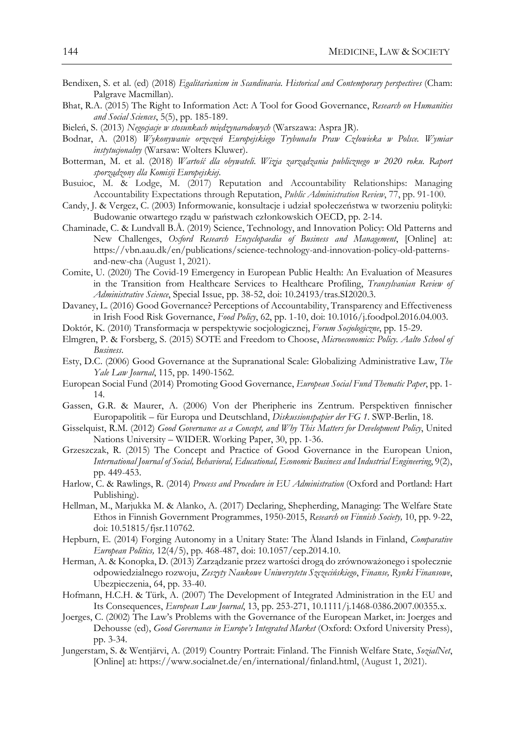- Bendixen, S. et al. (ed) (2018) *Egalitarianism in Scandinavia. Historical and Contemporary perspectives* (Cham: Palgrave Macmillan).
- Bhat, R.A. (2015) The Right to Information Act: A Tool for Good Governance, *Research on Humanities and Social Sciences*, 5(5), pp. 185-189.
- Bieleń, S. (2013) *Negocjacje w stosunkach międzynarodowych* (Warszawa: Aspra JR).
- Bodnar, A. (2018) *Wykonywanie orzeczeń Europejskiego Trybunału Praw Człowieka w Polsce. Wymiar instytucjonalny* (Warsaw: Wolters Kluwer).
- Botterman, M. et al. (2018) *Wartość dla obywateli. Wizja zarządzania publicznego w 2020 roku. Raport sporządzony dla Komisji Europejskiej*.
- Busuioc, M. & Lodge, M. (2017) Reputation and Accountability Relationships: Managing Accountability Expectations through Reputation, *Public Administration Review*, 77, pp. 91-100.
- Candy, J. & Vergez, C. (2003) Informowanie, konsultacje i udział społeczeństwa w tworzeniu polityki: Budowanie otwartego rządu w państwach członkowskich OECD, pp. 2-14.
- Chaminade, C. & Lundvall B.Å. (2019) Science, Technology, and Innovation Policy: Old Patterns and New Challenges, *Oxford Research Encyclopaedia of Business and Management*, [Online] at: https://vbn.aau.dk/en/publications/science-technology-and-innovation-policy-old-patternsand-new-cha (August 1, 2021).
- Comite, U. (2020) The Covid-19 Emergency in European Public Health: An Evaluation of Measures in the Transition from Healthcare Services to Healthcare Profiling, *Transylvanian Review of Administrative Science*, Special Issue, pp. 38-52, doi: 10.24193/tras.SI2020.3.
- Davaney, L. (2016) Good Governance? Perceptions of Accountability, Transparency and Effectiveness in Irish Food Risk Governance, *Food Policy*, 62, pp. 1-10, doi: 10.1016/j.foodpol.2016.04.003.
- Doktór, K. (2010) Transformacja w perspektywie socjologicznej, *Forum Socjologiczne*, pp. 15-29.
- Elmgren, P. & Forsberg, S. (2015) SOTE and Freedom to Choose, *Microeconomics: Policy. Aalto School of Business*.
- Esty, D.C. (2006) Good Governance at the Supranational Scale: Globalizing Administrative Law, *The Yale Law Journal*, 115, pp. 1490-1562.
- European Social Fund (2014) Promoting Good Governance, *European Social Fund Thematic Paper*, pp. 1- 14.
- Gassen, G.R. & Maurer, A. (2006) Von der Pheripherie ins Zentrum. Perspektiven finnischer Europapolitik – für Europa und Deutschland, *Diskussionspapier der FG 1*. SWP-Berlin, 18.
- Gisselquist, R.M. (2012) *Good Governance as a Concept, and Why This Matters for Development Policy*, United Nations University – WIDER. Working Paper, 30, pp. 1-36.
- Grzeszczak, R. (2015) The Concept and Practice of Good Governance in the European Union, *International Journal of Social, Behavioral, Educational, Economic Business and Industrial Engineering*, 9(2), pp. 449-453.
- Harlow, C. & Rawlings, R. (2014) *Process and Procedure in EU Administration* (Oxford and Portland: Hart Publishing).
- Hellman, M., Marjukka M. & Alanko, A. (2017) Declaring, Shepherding, Managing: The Welfare State Ethos in Finnish Government Programmes, 1950-2015, *Research on Finnish Society,* 10, pp. 9-22, doi: 10.51815/fjsr.110762.
- Hepburn, E. (2014) Forging Autonomy in a Unitary State: The Åland Islands in Finland, *Comparative European Politics,* 12(4/5), pp. 468-487, doi: 10.1057/cep.2014.10.
- Herman, A. & Konopka, D. (2013) Zarządzanie przez wartości drogą do zrównoważonego i społecznie odpowiedzialnego rozwoju, *Zeszyty Naukowe Uniwersytetu Szczecińskiego*, *Finanse, Rynki Finansowe*, Ubezpieczenia, 64, pp. 33-40.
- Hofmann, H.C.H. & Türk, A. (2007) The Development of Integrated Administration in the EU and Its Consequences, *European Law Journal*, 13, pp. 253-271, 10.1111/j.1468-0386.2007.00355.x.
- Joerges, C. (2002) The Law's Problems with the Governance of the European Market, in: Joerges and Dehousse (ed), *Good Governance in Europe's Integrated Market* (Oxford: Oxford University Press), pp. 3-34.
- Jungerstam, S. & Wentjärvi, A. (2019) Country Portrait: Finland. The Finnish Welfare State, *SozialNet*, [Online] at: https://www.socialnet.de/en/international/finland.html, (August 1, 2021).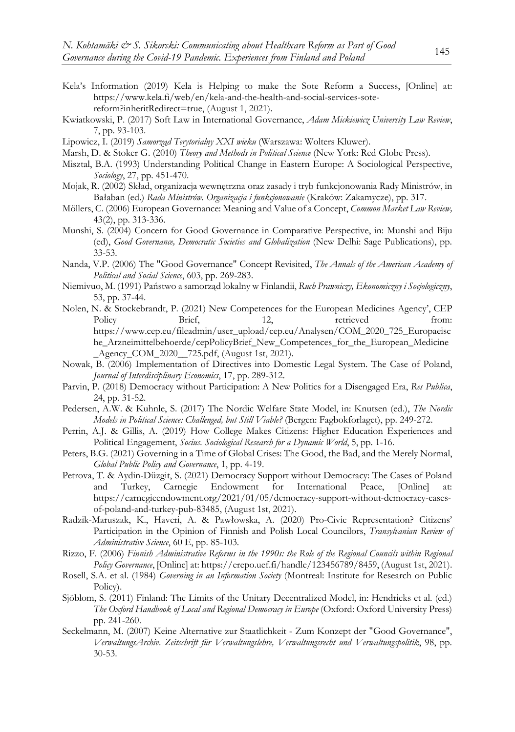- Kela's Information (2019) Kela is Helping to make the Sote Reform a Success, [Online] at: https://www.kela.fi/web/en/kela-and-the-health-and-social-services-sotereform?inheritRedirect=true, (August 1, 2021).
- Kwiatkowski, P. (2017) Soft Law in International Governance, *Adam Mickiewicz University Law Review*, 7, pp. 93-103.
- Lipowicz, I. (2019) *Samorząd Terytorialny XXI wieku* (Warszawa: Wolters Kluwer).
- Marsh, D. & Stoker G. (2010) *Theory and Methods in Political Science* (New York: Red Globe Press).
- Misztal, B.A. (1993) Understanding Political Change in Eastern Europe: A Sociological Perspective, *Sociology*, 27, pp. 451-470.
- Mojak, R. (2002) Skład, organizacja wewnętrzna oraz zasady i tryb funkcjonowania Rady Ministrów, in Bałaban (ed.) *Rada Ministrów. Organizacja i funkcjonowanie* (Kraków: Zakamycze), pp. 317.
- Möllers, C. (2006) European Governance: Meaning and Value of a Concept, *Common Market Law Review,* 43(2), pp. 313-336.
- Munshi, S. (2004) Concern for Good Governance in Comparative Perspective, in: Munshi and Biju (ed), *Good Governance, Democratic Societies and Globalization* (New Delhi: Sage Publications), pp. 33-53.
- Nanda, V.P. (2006) The "Good Governance" Concept Revisited, *The Annals of the American Academy of Political and Social Science*, 603, pp. 269-283.
- Niemivuo, M. (1991) Państwo a samorząd lokalny w Finlandii, *Ruch Prawniczy, Ekonomiczny i Socjologiczny*, 53, pp. 37-44.
- Nolen, N. & Stockebrandt, P. (2021) New Competences for the European Medicines Agency', CEP Policy Brief, 12, retrieved from: https://www.cep.eu/fileadmin/user\_upload/cep.eu/Analysen/COM\_2020\_725\_Europaeisc he\_Arzneimittelbehoerde/cepPolicyBrief\_New\_Competences\_for\_the\_European\_Medicine \_Agency\_COM\_2020\_\_725.pdf, (August 1st, 2021).
- Nowak, B. (2006) Implementation of Directives into Domestic Legal System. The Case of Poland, *Journal of Interdisciplinary Economics*, 17, pp. 289-312.
- Parvin, P. (2018) Democracy without Participation: A New Politics for a Disengaged Era, *Res Publica*, 24, pp. 31-52.
- Pedersen, A.W. & Kuhnle, S. (2017) The Nordic Welfare State Model, in: Knutsen (ed.), *The Nordic Models in Political Science: Challenged, but Still Viable?* (Bergen: Fagbokforlaget), pp. 249-272.
- Perrin, A.J. & Gillis, A. (2019) How College Makes Citizens: Higher Education Experiences and Political Engagement, *Socius. Sociological Research for a Dynamic World*, 5, pp. 1-16.
- Peters, B.G. (2021) Governing in a Time of Global Crises: The Good, the Bad, and the Merely Normal, *Global Public Policy and Governance*, 1, pp. 4-19.
- Petrova, T. & Aydin-Düzgit, S. (2021) Democracy Support without Democracy: The Cases of Poland and Turkey, Carnegie Endowment for International Peace, [Online] at: https://carnegieendowment.org/2021/01/05/democracy-support-without-democracy-casesof-poland-and-turkey-pub-83485, (August 1st, 2021).
- Radzik-Maruszak, K., Haveri, A. & Pawłowska, A. (2020) Pro-Civic Representation? Citizens' Participation in the Opinion of Finnish and Polish Local Councilors, *Transylvanian Review of Administrative Science*, 60 E, pp. 85-103.
- Rizzo, F. (2006) *Finnish Administrative Reforms in the 1990s: the Role of the Regional Councils within Regional Policy Governance*, [Online] at: https://erepo.uef.fi/handle/123456789/8459, (August 1st, 2021).
- Rosell, S.A. et al. (1984) *Governing in an Information Society* (Montreal: Institute for Research on Public Policy).
- Sjöblom, S. (2011) Finland: The Limits of the Unitary Decentralized Model, in: Hendricks et al. (ed.) *The Oxford Handbook of Local and Regional Democracy in Europe* (Oxford: Oxford University Press) pp. 241-260.
- Seckelmann, M. (2007) Keine Alternative zur Staatlichkeit Zum Konzept der "Good Governance", *VerwaltungsArchiv*. *Zeitschrift für Verwaltungslehre, Verwaltungsrecht und Verwaltungspolitik*, 98, pp. 30-53.